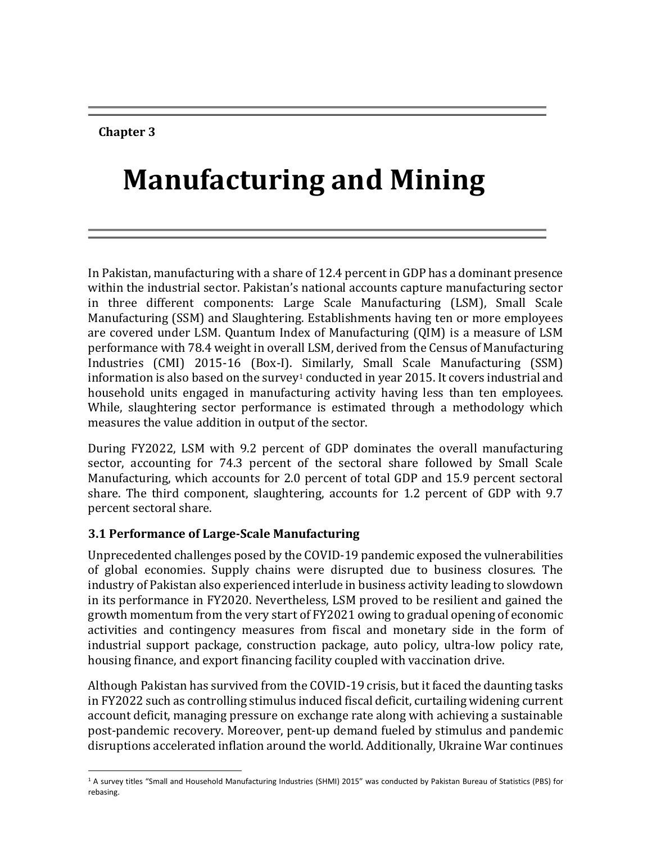**Chapter 3**

# **Manufacturing and Mining**

In Pakistan, manufacturing with a share of 12.4 percent in GDP has a dominant presence within the industrial sector. Pakistan's national accounts capture manufacturing sector in three different components: Large Scale Manufacturing (LSM), Small Scale Manufacturing (SSM) and Slaughtering. Establishments having ten or more employees are covered under LSM. Quantum Index of Manufacturing (QIM) is a measure of LSM performance with 78.4 weight in overall LSM, derived from the Census of Manufacturing Industries (CMI) 2015-16 (Box-I). Similarly, Small Scale Manufacturing (SSM) information is also based on the survey<sup>1</sup> conducted in year 2015. It covers industrial and household units engaged in manufacturing activity having less than ten employees. While, slaughtering sector performance is estimated through a methodology which measures the value addition in output of the sector.

During FY2022, LSM with 9.2 percent of GDP dominates the overall manufacturing sector, accounting for 74.3 percent of the sectoral share followed by Small Scale Manufacturing, which accounts for 2.0 percent of total GDP and 15.9 percent sectoral share. The third component, slaughtering, accounts for 1.2 percent of GDP with 9.7 percent sectoral share.

# **3.1 Performance of Large-Scale Manufacturing**

Unprecedented challenges posed by the COVID-19 pandemic exposed the vulnerabilities of global economies. Supply chains were disrupted due to business closures. The industry of Pakistan also experienced interlude in business activity leading to slowdown in its performance in FY2020. Nevertheless, LSM proved to be resilient and gained the growth momentum from the very start of FY2021 owing to gradual opening of economic activities and contingency measures from fiscal and monetary side in the form of industrial support package, construction package, auto policy, ultra-low policy rate, housing finance, and export financing facility coupled with vaccination drive.

Although Pakistan has survived from the COVID-19 crisis, but it faced the daunting tasks in FY2022 such as controlling stimulus induced fiscal deficit, curtailing widening current account deficit, managing pressure on exchange rate along with achieving a sustainable post-pandemic recovery. Moreover, pent-up demand fueled by stimulus and pandemic disruptions accelerated inflation around the world. Additionally, Ukraine War continues

l <sup>1</sup> A survey titles "Small and Household Manufacturing Industries (SHMI) 2015" was conducted by Pakistan Bureau of Statistics (PBS) for rebasing.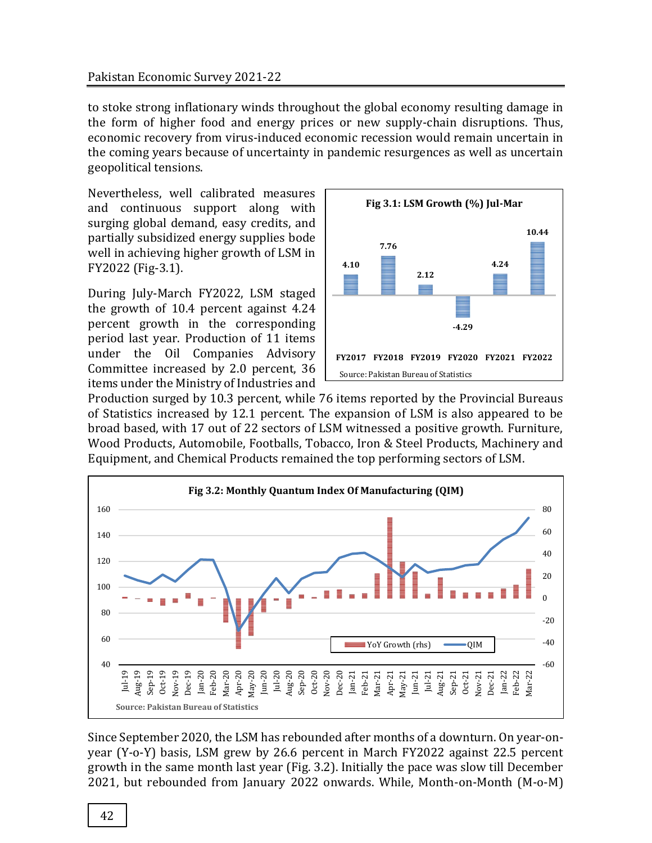#### Pakistan Economic Survey 2021-22

to stoke strong inflationary winds throughout the global economy resulting damage in the form of higher food and energy prices or new supply-chain disruptions. Thus, economic recovery from virus-induced economic recession would remain uncertain in the coming years because of uncertainty in pandemic resurgences as well as uncertain geopolitical tensions.

Nevertheless, well calibrated measures and continuous support along with surging global demand, easy credits, and partially subsidized energy supplies bode well in achieving higher growth of LSM in FY2022 (Fig-3.1).

During July-March FY2022, LSM staged the growth of 10.4 percent against 4.24 percent growth in the corresponding period last year. Production of 11 items under the Oil Companies Advisory Committee increased by 2.0 percent, 36 items under the Ministry of Industries and



Production surged by 10.3 percent, while 76 items reported by the Provincial Bureaus of Statistics increased by 12.1 percent. The expansion of LSM is also appeared to be broad based, with 17 out of 22 sectors of LSM witnessed a positive growth. Furniture, Wood Products, Automobile, Footballs, Tobacco, Iron & Steel Products, Machinery and Equipment, and Chemical Products remained the top performing sectors of LSM.



Since September 2020, the LSM has rebounded after months of a downturn. On year-onyear (Y-o-Y) basis, LSM grew by 26.6 percent in March FY2022 against 22.5 percent growth in the same month last year (Fig. 3.2). Initially the pace was slow till December 2021, but rebounded from January 2022 onwards. While, Month-on-Month (M-o-M)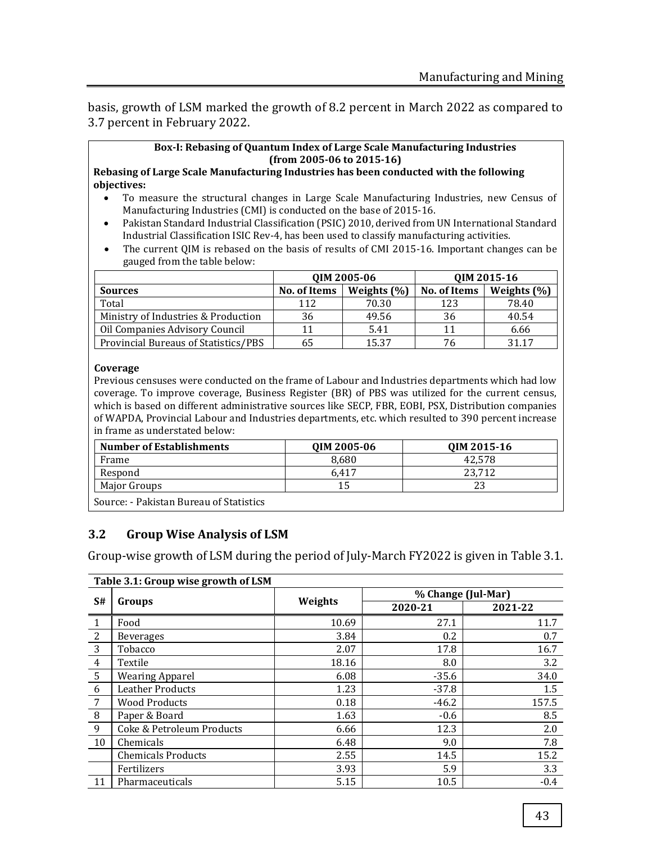basis, growth of LSM marked the growth of 8.2 percent in March 2022 as compared to 3.7 percent in February 2022.

#### **Box-I: Rebasing of Quantum Index of Large Scale Manufacturing Industries (from 2005-06 to 2015-16)**

**Rebasing of Large Scale Manufacturing Industries has been conducted with the following objectives:**

- To measure the structural changes in Large Scale Manufacturing Industries, new Census of Manufacturing Industries (CMI) is conducted on the base of 2015-16.
- Pakistan Standard Industrial Classification (PSIC) 2010, derived from UN International Standard Industrial Classification ISIC Rev-4, has been used to classify manufacturing activities.
- The current QIM is rebased on the basis of results of CMI 2015-16. Important changes can be gauged from the table below:

|                                      |                                 | QIM 2005-06 | QIM 2015-16  |                 |
|--------------------------------------|---------------------------------|-------------|--------------|-----------------|
| <b>Sources</b>                       | Weights $(\% )$<br>No. of Items |             | No. of Items | Weights $(\% )$ |
| Total                                | 112                             | 70.30       | 123          | 78.40           |
| Ministry of Industries & Production  | 36                              | 49.56       | 36           | 40.54           |
| Oil Companies Advisory Council       | 11                              | 5.41        |              | 6.66            |
| Provincial Bureaus of Statistics/PBS | 65                              | 15.37       | 76           | 31 17           |

#### **Coverage**

Previous censuses were conducted on the frame of Labour and Industries departments which had low coverage. To improve coverage, Business Register (BR) of PBS was utilized for the current census, which is based on different administrative sources like SECP, FBR, EOBI, PSX, Distribution companies of WAPDA, Provincial Labour and Industries departments, etc. which resulted to 390 percent increase in frame as understated below:

| <b>Number of Establishments</b>         | QIM 2005-06 | QIM 2015-16 |  |  |  |  |  |
|-----------------------------------------|-------------|-------------|--|--|--|--|--|
| Frame                                   | 8.680       | 42.578      |  |  |  |  |  |
| Respond                                 | 6.417       | 23.712      |  |  |  |  |  |
| Maior Groups                            |             | 23          |  |  |  |  |  |
| Source: - Pakistan Bureau of Statistics |             |             |  |  |  |  |  |

## **3.2 Group Wise Analysis of LSM**

Group-wise growth of LSM during the period of July-March FY2022 is given in Table 3.1.

|                | Table 3.1: Group wise growth of LSM |         |                    |         |  |  |
|----------------|-------------------------------------|---------|--------------------|---------|--|--|
|                |                                     |         | % Change (Jul-Mar) |         |  |  |
| S#             | Groups                              | Weights | 2020-21            | 2021-22 |  |  |
|                | Food                                | 10.69   | 27.1               | 11.7    |  |  |
| 2              | <b>Beverages</b>                    | 3.84    | 0.2                | 0.7     |  |  |
| 3              | Tobacco                             | 2.07    | 17.8               | 16.7    |  |  |
| $\overline{4}$ | Textile                             | 18.16   | 8.0                | 3.2     |  |  |
| 5              | <b>Wearing Apparel</b>              | 6.08    | $-35.6$            | 34.0    |  |  |
| 6              | <b>Leather Products</b>             | 1.23    | $-37.8$            | 1.5     |  |  |
| 7              | <b>Wood Products</b>                | 0.18    | $-46.2$            | 157.5   |  |  |
| 8              | Paper & Board                       | 1.63    | $-0.6$             | 8.5     |  |  |
| 9              | Coke & Petroleum Products           | 6.66    | 12.3               | 2.0     |  |  |
| 10             | Chemicals                           | 6.48    | 9.0                | 7.8     |  |  |
|                | <b>Chemicals Products</b>           | 2.55    | 14.5               | 15.2    |  |  |
|                | Fertilizers                         | 3.93    | 5.9                | 3.3     |  |  |
| 11             | Pharmaceuticals                     | 5.15    | 10.5               | $-0.4$  |  |  |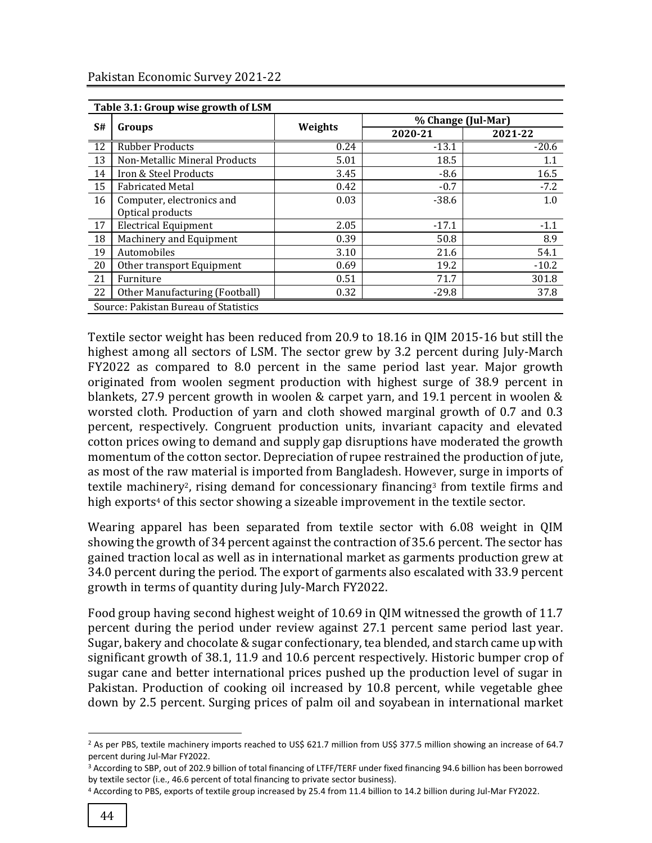|                 | Table 3.1: Group wise growth of LSM   |         |         |                    |  |  |  |
|-----------------|---------------------------------------|---------|---------|--------------------|--|--|--|
|                 | Groups                                | Weights |         | % Change (Jul-Mar) |  |  |  |
| S#              |                                       |         | 2020-21 | 2021-22            |  |  |  |
| $\overline{12}$ | <b>Rubber Products</b>                | 0.24    | $-13.1$ | $-20.6$            |  |  |  |
| 13              | Non-Metallic Mineral Products         | 5.01    | 18.5    | 1.1                |  |  |  |
| 14              | Iron & Steel Products                 | 3.45    | $-8.6$  | 16.5               |  |  |  |
| 15              | <b>Fabricated Metal</b>               | 0.42    | $-0.7$  | $-7.2$             |  |  |  |
| 16              | Computer, electronics and             | 0.03    | $-38.6$ | 1.0                |  |  |  |
|                 | Optical products                      |         |         |                    |  |  |  |
| 17              | <b>Electrical Equipment</b>           | 2.05    | $-17.1$ | $-1.1$             |  |  |  |
| 18              | Machinery and Equipment               | 0.39    | 50.8    | 8.9                |  |  |  |
| 19              | Automobiles                           | 3.10    | 21.6    | 54.1               |  |  |  |
| 20              | Other transport Equipment             | 0.69    | 19.2    | $-10.2$            |  |  |  |
| 21              | Furniture                             | 0.51    | 71.7    | 301.8              |  |  |  |
| 22              | Other Manufacturing (Football)        | 0.32    | $-29.8$ | 37.8               |  |  |  |
|                 | Source: Pakistan Bureau of Statistics |         |         |                    |  |  |  |

Textile sector weight has been reduced from 20.9 to 18.16 in QIM 2015-16 but still the highest among all sectors of LSM. The sector grew by 3.2 percent during July-March FY2022 as compared to 8.0 percent in the same period last year. Major growth originated from woolen segment production with highest surge of 38.9 percent in blankets, 27.9 percent growth in woolen & carpet yarn, and 19.1 percent in woolen & worsted cloth. Production of yarn and cloth showed marginal growth of 0.7 and 0.3 percent, respectively. Congruent production units, invariant capacity and elevated cotton prices owing to demand and supply gap disruptions have moderated the growth momentum of the cotton sector. Depreciation of rupee restrained the production of jute, as most of the raw material is imported from Bangladesh. However, surge in imports of textile machinery2, rising demand for concessionary financing<sup>3</sup> from textile firms and high exports<sup>4</sup> of this sector showing a sizeable improvement in the textile sector.

Wearing apparel has been separated from textile sector with 6.08 weight in QIM showing the growth of 34 percent against the contraction of 35.6 percent. The sector has gained traction local as well as in international market as garments production grew at 34.0 percent during the period. The export of garments also escalated with 33.9 percent growth in terms of quantity during July-March FY2022.

Food group having second highest weight of 10.69 in QIM witnessed the growth of 11.7 percent during the period under review against 27.1 percent same period last year. Sugar, bakery and chocolate & sugar confectionary, tea blended, and starch came up with significant growth of 38.1, 11.9 and 10.6 percent respectively. Historic bumper crop of sugar cane and better international prices pushed up the production level of sugar in Pakistan. Production of cooking oil increased by 10.8 percent, while vegetable ghee down by 2.5 percent. Surging prices of palm oil and soyabean in international market

 $\overline{\phantom{a}}$ 

<sup>&</sup>lt;sup>2</sup> As per PBS, textile machinery imports reached to US\$ 621.7 million from US\$ 377.5 million showing an increase of 64.7 percent during Jul-Mar FY2022.

<sup>3</sup> According to SBP, out of 202.9 billion of total financing of LTFF/TERF under fixed financing 94.6 billion has been borrowed by textile sector (i.e., 46.6 percent of total financing to private sector business).

<sup>4</sup> According to PBS, exports of textile group increased by 25.4 from 11.4 billion to 14.2 billion during Jul-Mar FY2022.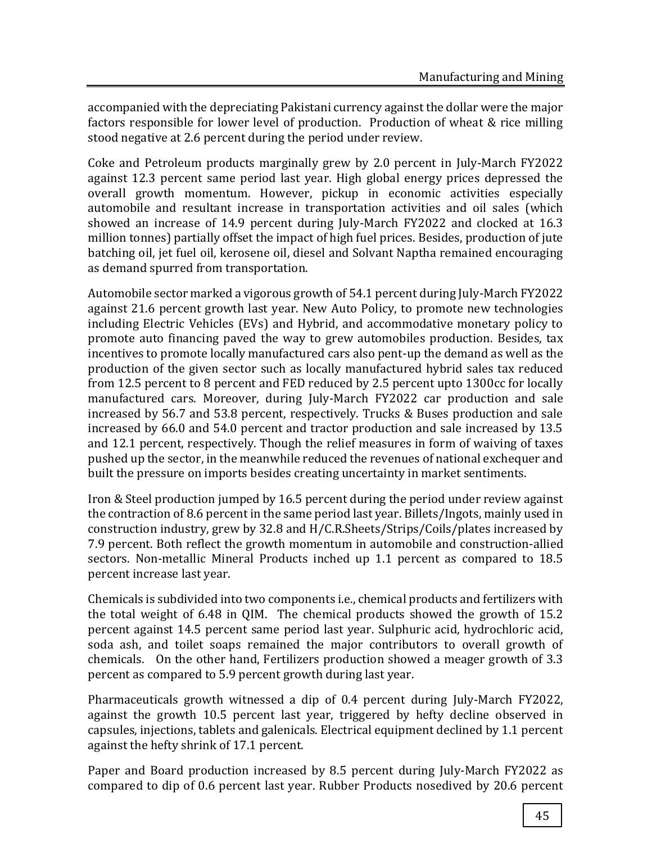accompanied with the depreciating Pakistani currency against the dollar were the major factors responsible for lower level of production. Production of wheat & rice milling stood negative at 2.6 percent during the period under review.

Coke and Petroleum products marginally grew by 2.0 percent in July-March FY2022 against 12.3 percent same period last year. High global energy prices depressed the overall growth momentum. However, pickup in economic activities especially automobile and resultant increase in transportation activities and oil sales (which showed an increase of 14.9 percent during July-March FY2022 and clocked at 16.3 million tonnes) partially offset the impact of high fuel prices. Besides, production of jute batching oil, jet fuel oil, kerosene oil, diesel and Solvant Naptha remained encouraging as demand spurred from transportation.

Automobile sector marked a vigorous growth of 54.1 percent during July-March FY2022 against 21.6 percent growth last year. New Auto Policy, to promote new technologies including Electric Vehicles (EVs) and Hybrid, and accommodative monetary policy to promote auto financing paved the way to grew automobiles production. Besides, tax incentives to promote locally manufactured cars also pent-up the demand as well as the production of the given sector such as locally manufactured hybrid sales tax reduced from 12.5 percent to 8 percent and FED reduced by 2.5 percent upto 1300cc for locally manufactured cars. Moreover, during July-March FY2022 car production and sale increased by 56.7 and 53.8 percent, respectively. Trucks & Buses production and sale increased by 66.0 and 54.0 percent and tractor production and sale increased by 13.5 and 12.1 percent, respectively. Though the relief measures in form of waiving of taxes pushed up the sector, in the meanwhile reduced the revenues of national exchequer and built the pressure on imports besides creating uncertainty in market sentiments.

Iron & Steel production jumped by 16.5 percent during the period under review against the contraction of 8.6 percent in the same period last year. Billets/Ingots, mainly used in construction industry, grew by 32.8 and H/C.R.Sheets/Strips/Coils/plates increased by 7.9 percent. Both reflect the growth momentum in automobile and construction-allied sectors. Non-metallic Mineral Products inched up 1.1 percent as compared to 18.5 percent increase last year.

Chemicals is subdivided into two components i.e., chemical products and fertilizers with the total weight of 6.48 in QIM. The chemical products showed the growth of 15.2 percent against 14.5 percent same period last year. Sulphuric acid, hydrochloric acid, soda ash, and toilet soaps remained the major contributors to overall growth of chemicals. On the other hand, Fertilizers production showed a meager growth of 3.3 percent as compared to 5.9 percent growth during last year.

Pharmaceuticals growth witnessed a dip of 0.4 percent during July-March FY2022, against the growth 10.5 percent last year, triggered by hefty decline observed in capsules, injections, tablets and galenicals. Electrical equipment declined by 1.1 percent against the hefty shrink of 17.1 percent.

Paper and Board production increased by 8.5 percent during July-March FY2022 as compared to dip of 0.6 percent last year. Rubber Products nosedived by 20.6 percent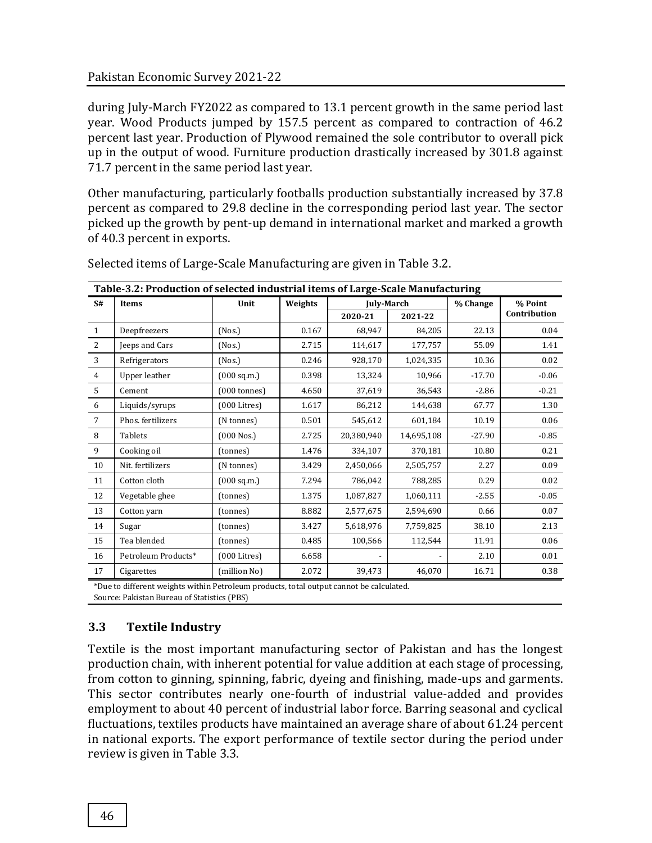during July-March FY2022 as compared to 13.1 percent growth in the same period last year. Wood Products jumped by 157.5 percent as compared to contraction of 46.2 percent last year. Production of Plywood remained the sole contributor to overall pick up in the output of wood. Furniture production drastically increased by 301.8 against 71.7 percent in the same period last year.

Other manufacturing, particularly footballs production substantially increased by 37.8 percent as compared to 29.8 decline in the corresponding period last year. The sector picked up the growth by pent-up demand in international market and marked a growth of 40.3 percent in exports.

| Table-3.2: Production of selected industrial items of Large-Scale Manufacturing |                     |                        |         |            |                   |          |              |  |         |
|---------------------------------------------------------------------------------|---------------------|------------------------|---------|------------|-------------------|----------|--------------|--|---------|
| S#                                                                              | <b>Items</b>        | Unit                   | Weights |            | <b>July-March</b> |          | % Change     |  | % Point |
|                                                                                 |                     |                        |         | 2020-21    | 2021-22           |          | Contribution |  |         |
| $\mathbf{1}$                                                                    | Deepfreezers        | (Nos.)                 | 0.167   | 68,947     | 84,205            | 22.13    | 0.04         |  |         |
| 2                                                                               | Jeeps and Cars      | (Nos.)                 | 2.715   | 114,617    | 177,757           | 55.09    | 1.41         |  |         |
| 3                                                                               | Refrigerators       | (Nos.)                 | 0.246   | 928,170    | 1,024,335         | 10.36    | 0.02         |  |         |
| $\overline{4}$                                                                  | Upper leather       | (000 sq.m.)            | 0.398   | 13,324     | 10,966            | $-17.70$ | $-0.06$      |  |         |
| 5                                                                               | Cement              | $(000 \text{ tonnes})$ | 4.650   | 37,619     | 36,543            | $-2.86$  | $-0.21$      |  |         |
| 6                                                                               | Liquids/syrups      | $(000$ Litres)         | 1.617   | 86,212     | 144.638           | 67.77    | 1.30         |  |         |
| 7                                                                               | Phos. fertilizers   | (N tonnes)             | 0.501   | 545,612    | 601,184           | 10.19    | 0.06         |  |         |
| 8                                                                               | <b>Tablets</b>      | $(000$ Nos.)           | 2.725   | 20,380,940 | 14,695,108        | $-27.90$ | $-0.85$      |  |         |
| 9                                                                               | Cooking oil         | (tonnes)               | 1.476   | 334,107    | 370,181           | 10.80    | 0.21         |  |         |
| 10                                                                              | Nit. fertilizers    | (N tonnes)             | 3.429   | 2,450,066  | 2,505,757         | 2.27     | 0.09         |  |         |
| 11                                                                              | Cotton cloth        | (000 sq.m.)            | 7.294   | 786,042    | 788,285           | 0.29     | 0.02         |  |         |
| 12                                                                              | Vegetable ghee      | (tonnes)               | 1.375   | 1,087,827  | 1,060,111         | $-2.55$  | $-0.05$      |  |         |
| 13                                                                              | Cotton yarn         | (tonnes)               | 8.882   | 2,577,675  | 2,594,690         | 0.66     | 0.07         |  |         |
| 14                                                                              | Sugar               | (tonnes)               | 3.427   | 5,618,976  | 7,759,825         | 38.10    | 2.13         |  |         |
| 15                                                                              | Tea blended         | (tonnes)               | 0.485   | 100,566    | 112,544           | 11.91    | 0.06         |  |         |
| 16                                                                              | Petroleum Products* | $(000$ Litres)         | 6.658   |            |                   | 2.10     | 0.01         |  |         |
| 17                                                                              | Cigarettes          | (million No)           | 2.072   | 39,473     | 46,070            | 16.71    | 0.38         |  |         |

Selected items of Large-Scale Manufacturing are given in Table 3.2.

\*Due to different weights within Petroleum products, total output cannot be calculated.

Source: Pakistan Bureau of Statistics (PBS)

# **3.3 Textile Industry**

Textile is the most important manufacturing sector of Pakistan and has the longest production chain, with inherent potential for value addition at each stage of processing, from cotton to ginning, spinning, fabric, dyeing and finishing, made-ups and garments. This sector contributes nearly one-fourth of industrial value-added and provides employment to about 40 percent of industrial labor force. Barring seasonal and cyclical fluctuations, textiles products have maintained an average share of about 61.24 percent in national exports. The export performance of textile sector during the period under review is given in Table 3.3.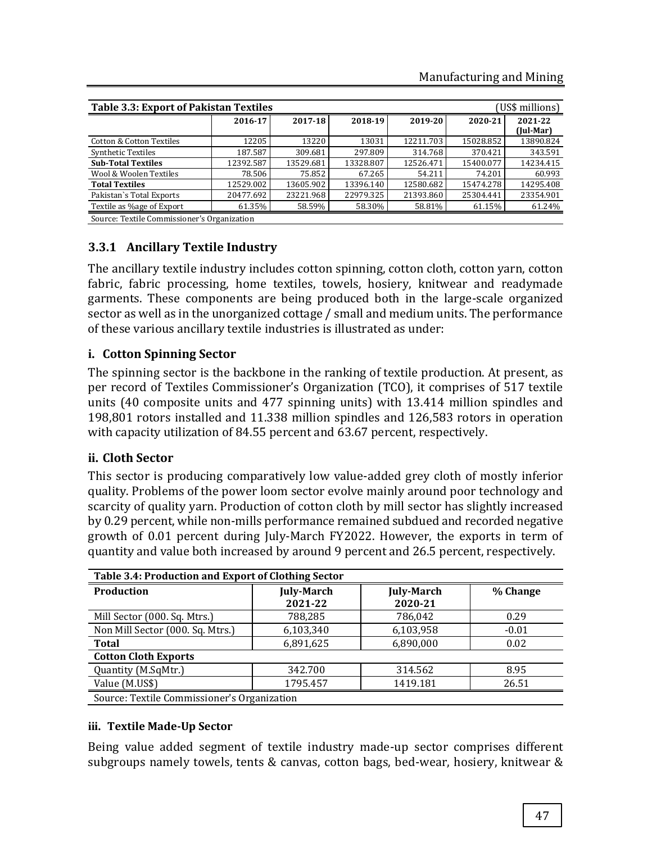| <b>Table 3.3: Export of Pakistan Textiles</b><br>(US\$ millions) |           |           |           |           |           |                      |
|------------------------------------------------------------------|-----------|-----------|-----------|-----------|-----------|----------------------|
|                                                                  | 2016-17   | 2017-18   | 2018-19   | 2019-20   | 2020-21   | 2021-22<br>(Jul-Mar) |
| Cotton & Cotton Textiles                                         | 12205     | 13220     | 13031     | 12211.703 | 15028.852 | 13890.824            |
| <b>Synthetic Textiles</b>                                        | 187.587   | 309.681   | 297.809   | 314.768   | 370.421   | 343.591              |
| <b>Sub-Total Textiles</b>                                        | 12392.587 | 13529.681 | 13328.807 | 12526.471 | 15400.077 | 14234.415            |
| Wool & Woolen Textiles                                           | 78.506    | 75.852    | 67.265    | 54.211    | 74.201    | 60.993               |
| <b>Total Textiles</b>                                            | 12529.002 | 13605.902 | 13396.140 | 12580.682 | 15474.278 | 14295.408            |
| Pakistan's Total Exports                                         | 20477.692 | 23221.968 | 22979.325 | 21393.860 | 25304.441 | 23354.901            |
| Textile as %age of Export                                        | 61.35%    | 58.59%    | 58.30%    | 58.81%    | 61.15%    | 61.24%               |
| Source: Textile Commissioner's Organization                      |           |           |           |           |           |                      |

## **3.3.1 Ancillary Textile Industry**

The ancillary textile industry includes cotton spinning, cotton cloth, cotton yarn, cotton fabric, fabric processing, home textiles, towels, hosiery, knitwear and readymade garments. These components are being produced both in the large-scale organized sector as well as in the unorganized cottage / small and medium units. The performance of these various ancillary textile industries is illustrated as under:

## **i. Cotton Spinning Sector**

The spinning sector is the backbone in the ranking of textile production. At present, as per record of Textiles Commissioner's Organization (TCO), it comprises of 517 textile units (40 composite units and 477 spinning units) with 13.414 million spindles and 198,801 rotors installed and 11.338 million spindles and 126,583 rotors in operation with capacity utilization of 84.55 percent and 63.67 percent, respectively.

## **ii. Cloth Sector**

This sector is producing comparatively low value-added grey cloth of mostly inferior quality. Problems of the power loom sector evolve mainly around poor technology and scarcity of quality yarn. Production of cotton cloth by mill sector has slightly increased by 0.29 percent, while non-mills performance remained subdued and recorded negative growth of 0.01 percent during July-March FY2022. However, the exports in term of quantity and value both increased by around 9 percent and 26.5 percent, respectively.

| Table 3.4: Production and Export of Clothing Sector |                                        |           |          |  |  |  |
|-----------------------------------------------------|----------------------------------------|-----------|----------|--|--|--|
| Production                                          | <b>July-March</b><br><b>July-March</b> |           | % Change |  |  |  |
|                                                     | 2021-22                                | 2020-21   |          |  |  |  |
| Mill Sector (000. Sq. Mtrs.)                        | 788,285                                | 786,042   | 0.29     |  |  |  |
| Non Mill Sector (000. Sq. Mtrs.)                    | 6,103,340                              | 6,103,958 | $-0.01$  |  |  |  |
| <b>Total</b>                                        | 6,891,625                              | 6,890,000 | 0.02     |  |  |  |
| <b>Cotton Cloth Exports</b>                         |                                        |           |          |  |  |  |
| Quantity (M.SqMtr.)                                 | 342.700                                | 314.562   | 8.95     |  |  |  |
| Value (M.US\$)                                      | 1795.457                               | 1419.181  | 26.51    |  |  |  |
| Source: Textile Commissioner's Organization         |                                        |           |          |  |  |  |

## **iii. Textile Made-Up Sector**

Being value added segment of textile industry made-up sector comprises different subgroups namely towels, tents & canvas, cotton bags, bed-wear, hosiery, knitwear &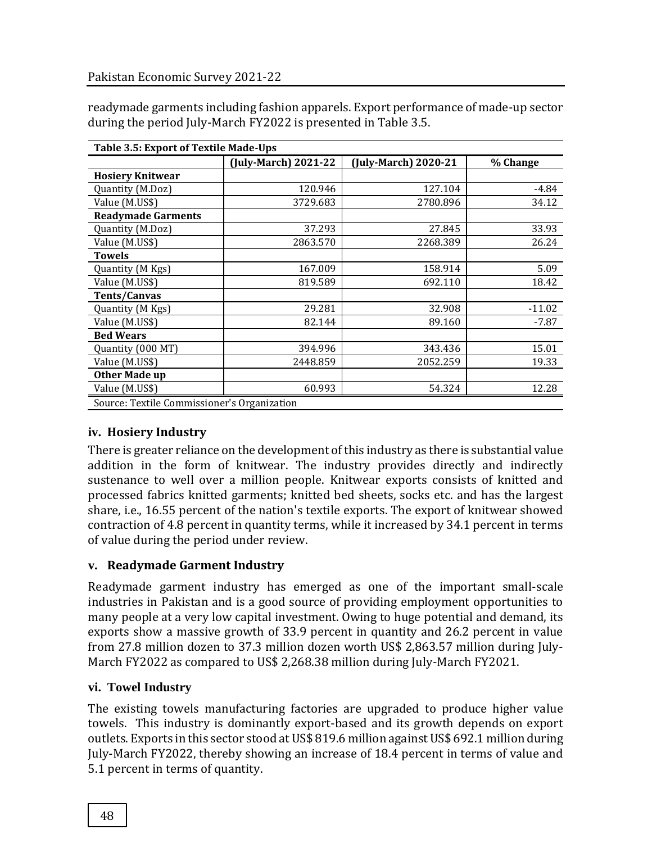| readymade garments including fashion apparels. Export performance of made-up sector |
|-------------------------------------------------------------------------------------|
| during the period July-March FY2022 is presented in Table 3.5.                      |

| Table 3.5: Export of Textile Made-Ups       |                      |                      |          |  |  |  |
|---------------------------------------------|----------------------|----------------------|----------|--|--|--|
|                                             | (July-March) 2021-22 | (July-March) 2020-21 | % Change |  |  |  |
| <b>Hosiery Knitwear</b>                     |                      |                      |          |  |  |  |
| Quantity (M.Doz)                            | 120.946              | 127.104              | $-4.84$  |  |  |  |
| Value (M.US\$)                              | 3729.683             | 2780.896             | 34.12    |  |  |  |
| <b>Readymade Garments</b>                   |                      |                      |          |  |  |  |
| Quantity (M.Doz)                            | 37.293               | 27.845               | 33.93    |  |  |  |
| Value (M.US\$)                              | 2863.570             | 2268.389             | 26.24    |  |  |  |
| <b>Towels</b>                               |                      |                      |          |  |  |  |
| Quantity (M Kgs)                            | 167.009              | 158.914              | 5.09     |  |  |  |
| Value (M.US\$)                              | 819.589              | 692.110              | 18.42    |  |  |  |
| <b>Tents/Canvas</b>                         |                      |                      |          |  |  |  |
| Quantity (M Kgs)                            | 29.281               | 32.908               | $-11.02$ |  |  |  |
| Value (M.US\$)                              | 82.144               | 89.160               | -7.87    |  |  |  |
| <b>Bed Wears</b>                            |                      |                      |          |  |  |  |
| Quantity (000 MT)                           | 394.996              | 343.436              | 15.01    |  |  |  |
| Value (M.US\$)                              | 2448.859             | 2052.259             | 19.33    |  |  |  |
| <b>Other Made up</b>                        |                      |                      |          |  |  |  |
| Value (M.US\$)                              | 60.993               | 54.324               | 12.28    |  |  |  |
| Source: Textile Commissioner's Organization |                      |                      |          |  |  |  |

# **iv. Hosiery Industry**

There is greater reliance on the development of this industry as there is substantial value addition in the form of knitwear. The industry provides directly and indirectly sustenance to well over a million people. Knitwear exports consists of knitted and processed fabrics knitted garments; knitted bed sheets, socks etc. and has the largest share, i.e., 16.55 percent of the nation's textile exports. The export of knitwear showed contraction of 4.8 percent in quantity terms, while it increased by 34.1 percent in terms of value during the period under review.

# **v. Readymade Garment Industry**

Readymade garment industry has emerged as one of the important small-scale industries in Pakistan and is a good source of providing employment opportunities to many people at a very low capital investment. Owing to huge potential and demand, its exports show a massive growth of 33.9 percent in quantity and 26.2 percent in value from 27.8 million dozen to 37.3 million dozen worth US\$ 2,863.57 million during July-March FY2022 as compared to US\$ 2,268.38 million during July-March FY2021.

## **vi. Towel Industry**

The existing towels manufacturing factories are upgraded to produce higher value towels. This industry is dominantly export-based and its growth depends on export outlets. Exports in this sector stood at US\$ 819.6 million against US\$ 692.1 million during July-March FY2022, thereby showing an increase of 18.4 percent in terms of value and 5.1 percent in terms of quantity.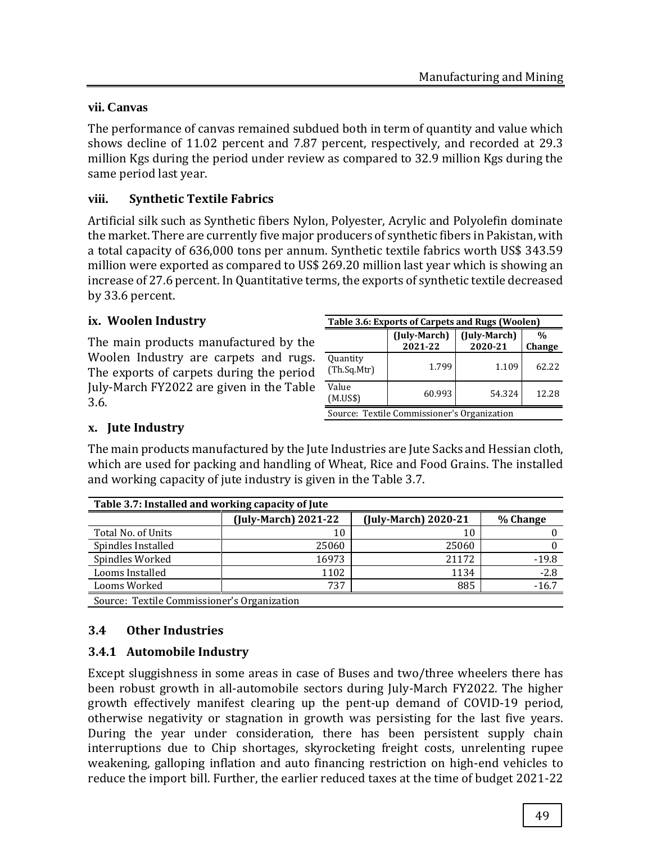## **vii. Canvas**

The performance of canvas remained subdued both in term of quantity and value which shows decline of 11.02 percent and 7.87 percent, respectively, and recorded at 29.3 million Kgs during the period under review as compared to 32.9 million Kgs during the same period last year.

## **viii. Synthetic Textile Fabrics**

Artificial silk such as Synthetic fibers Nylon, Polyester, Acrylic and Polyolefin dominate the market. There are currently five major producers of synthetic fibers in Pakistan, with a total capacity of 636,000 tons per annum. Synthetic textile fabrics worth US\$ 343.59 million were exported as compared to US\$ 269.20 million last year which is showing an increase of 27.6 percent. In Quantitative terms, the exports of synthetic textile decreased by 33.6 percent.

## **ix. Woolen Industry**

The main products manufactured by the Woolen Industry are carpets and rugs. The exports of carpets during the period July-March FY2022 are given in the Table 3.6.

| Table 3.6: Exports of Carpets and Rugs (Woolen) |                                                                      |       |       |  |  |  |  |
|-------------------------------------------------|----------------------------------------------------------------------|-------|-------|--|--|--|--|
|                                                 | (July-March)<br>(July-March)<br>$\%$<br>2021-22<br>2020-21<br>Change |       |       |  |  |  |  |
| Quantity<br>(Th.Sq.Mtr)                         | 1.799                                                                | 1.109 | 62.22 |  |  |  |  |
| Value<br>60.993<br>54.324<br>12.28<br>(M.US\$)  |                                                                      |       |       |  |  |  |  |
| Source: Textile Commissioner's Organization     |                                                                      |       |       |  |  |  |  |

## **x. Jute Industry**

The main products manufactured by the Jute Industries are Jute Sacks and Hessian cloth, which are used for packing and handling of Wheat, Rice and Food Grains. The installed and working capacity of jute industry is given in the Table 3.7.

| Table 3.7: Installed and working capacity of Jute |                                                          |       |         |  |  |  |
|---------------------------------------------------|----------------------------------------------------------|-------|---------|--|--|--|
|                                                   | (July-March) 2020-21<br>(July-March) 2021-22<br>% Change |       |         |  |  |  |
| Total No. of Units                                | 10                                                       | 10    |         |  |  |  |
| Spindles Installed                                | 25060                                                    | 25060 |         |  |  |  |
| Spindles Worked                                   | 16973                                                    | 21172 | $-19.8$ |  |  |  |
| Looms Installed                                   | 1102                                                     | 1134  | $-2.8$  |  |  |  |
| 885<br>Looms Worked<br>737<br>$-16.7$             |                                                          |       |         |  |  |  |
| Source: Textile Commissioner's Organization       |                                                          |       |         |  |  |  |

#### **3.4 Other Industries**

## **3.4.1 Automobile Industry**

Except sluggishness in some areas in case of Buses and two/three wheelers there has been robust growth in all-automobile sectors during July-March FY2022. The higher growth effectively manifest clearing up the pent-up demand of COVID-19 period, otherwise negativity or stagnation in growth was persisting for the last five years. During the year under consideration, there has been persistent supply chain interruptions due to Chip shortages, skyrocketing freight costs, unrelenting rupee weakening, galloping inflation and auto financing restriction on high-end vehicles to reduce the import bill. Further, the earlier reduced taxes at the time of budget 2021-22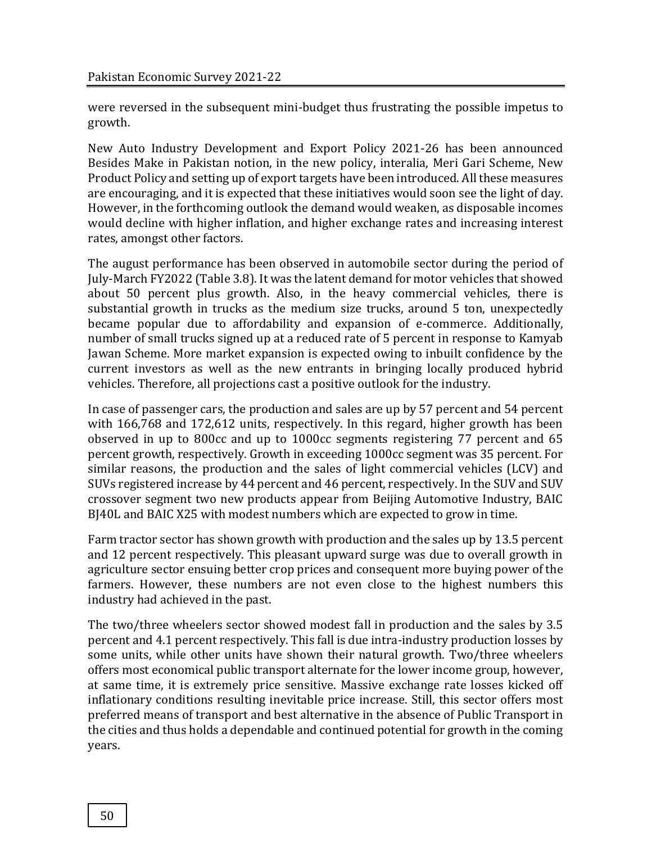were reversed in the subsequent mini-budget thus frustrating the possible impetus to growth.

New Auto Industry Development and Export Policy 2021-26 has been announced Besides Make in Pakistan notion, in the new policy, interalia, Meri Gari Scheme, New Product Policy and setting up of export targets have been introduced. All these measures are encouraging, and it is expected that these initiatives would soon see the light of day. However, in the forthcoming outlook the demand would weaken, as disposable incomes would decline with higher inflation, and higher exchange rates and increasing interest rates, amongst other factors.

The august performance has been observed in automobile sector during the period of July-March FY2022 (Table 3.8). It was the latent demand for motor vehicles that showed about 50 percent plus growth. Also, in the heavy commercial vehicles, there is substantial growth in trucks as the medium size trucks, around 5 ton, unexpectedly became popular due to affordability and expansion of e-commerce. Additionally, number of small trucks signed up at a reduced rate of 5 percent in response to Kamyab Jawan Scheme. More market expansion is expected owing to inbuilt confidence by the current investors as well as the new entrants in bringing locally produced hybrid vehicles. Therefore, all projections cast a positive outlook for the industry.

In case of passenger cars, the production and sales are up by 57 percent and 54 percent with 166,768 and 172,612 units, respectively. In this regard, higher growth has been observed in up to 800cc and up to 1000cc segments registering 77 percent and 65 percent growth, respectively. Growth in exceeding 1000cc segment was 35 percent. For similar reasons, the production and the sales of light commercial vehicles (LCV) and SUVs registered increase by 44 percent and 46 percent, respectively. In the SUV and SUV crossover segment two new products appear from Beijing Automotive Industry, BAIC BJ40L and BAIC X25 with modest numbers which are expected to grow in time.

Farm tractor sector has shown growth with production and the sales up by 13.5 percent and 12 percent respectively. This pleasant upward surge was due to overall growth in agriculture sector ensuing better crop prices and consequent more buying power of the farmers. However, these numbers are not even close to the highest numbers this industry had achieved in the past.

The two/three wheelers sector showed modest fall in production and the sales by 3.5 percent and 4.1 percent respectively. This fall is due intra-industry production losses by some units, while other units have shown their natural growth. Two/three wheelers offers most economical public transport alternate for the lower income group, however, at same time, it is extremely price sensitive. Massive exchange rate losses kicked off inflationary conditions resulting inevitable price increase. Still, this sector offers most preferred means of transport and best alternative in the absence of Public Transport in the cities and thus holds a dependable and continued potential for growth in the coming years.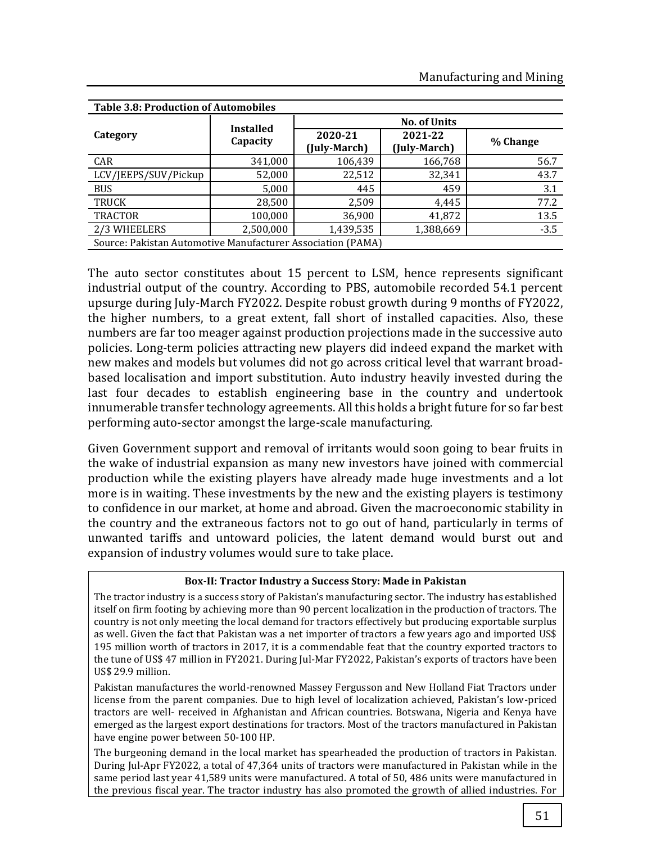| <b>Table 3.8: Production of Automobiles</b>                 |                  |                         |                         |          |  |
|-------------------------------------------------------------|------------------|-------------------------|-------------------------|----------|--|
|                                                             | <b>Installed</b> | <b>No. of Units</b>     |                         |          |  |
| Category                                                    | Capacity         | 2020-21<br>(July-March) | 2021-22<br>(July-March) | % Change |  |
| CAR                                                         | 341,000          | 106,439                 | 166,768                 | 56.7     |  |
| LCV/JEEPS/SUV/Pickup                                        | 52,000           | 22,512                  | 32,341                  | 43.7     |  |
| <b>BUS</b>                                                  | 5,000            | 445                     | 459                     | 3.1      |  |
| <b>TRUCK</b>                                                | 28,500           | 2,509                   | 4,445                   | 77.2     |  |
| <b>TRACTOR</b>                                              | 100,000          | 36,900                  | 41,872                  | 13.5     |  |
| 2/3 WHEELERS                                                | 2,500,000        | 1,439,535               | 1,388,669               | $-3.5$   |  |
| Source: Pakistan Automotive Manufacturer Association (PAMA) |                  |                         |                         |          |  |

The auto sector constitutes about 15 percent to LSM, hence represents significant industrial output of the country. According to PBS, automobile recorded 54.1 percent upsurge during July-March FY2022. Despite robust growth during 9 months of FY2022, the higher numbers, to a great extent, fall short of installed capacities. Also, these numbers are far too meager against production projections made in the successive auto policies. Long-term policies attracting new players did indeed expand the market with new makes and models but volumes did not go across critical level that warrant broadbased localisation and import substitution. Auto industry heavily invested during the last four decades to establish engineering base in the country and undertook innumerable transfer technology agreements. All this holds a bright future for so far best performing auto-sector amongst the large-scale manufacturing.

Given Government support and removal of irritants would soon going to bear fruits in the wake of industrial expansion as many new investors have joined with commercial production while the existing players have already made huge investments and a lot more is in waiting. These investments by the new and the existing players is testimony to confidence in our market, at home and abroad. Given the macroeconomic stability in the country and the extraneous factors not to go out of hand, particularly in terms of unwanted tariffs and untoward policies, the latent demand would burst out and expansion of industry volumes would sure to take place.

#### **Box-II: Tractor Industry a Success Story: Made in Pakistan**

The tractor industry is a success story of Pakistan's manufacturing sector. The industry has established itself on firm footing by achieving more than 90 percent localization in the production of tractors. The country is not only meeting the local demand for tractors effectively but producing exportable surplus as well. Given the fact that Pakistan was a net importer of tractors a few years ago and imported US\$ 195 million worth of tractors in 2017, it is a commendable feat that the country exported tractors to the tune of US\$ 47 million in FY2021. During Jul-Mar FY2022, Pakistan's exports of tractors have been US\$ 29.9 million.

Pakistan manufactures the world-renowned Massey Fergusson and New Holland Fiat Tractors under license from the parent companies. Due to high level of localization achieved, Pakistan's low-priced tractors are well- received in Afghanistan and African countries. Botswana, Nigeria and Kenya have emerged as the largest export destinations for tractors. Most of the tractors manufactured in Pakistan have engine power between 50-100 HP.

The burgeoning demand in the local market has spearheaded the production of tractors in Pakistan. During Jul-Apr FY2022, a total of 47,364 units of tractors were manufactured in Pakistan while in the same period last year 41,589 units were manufactured. A total of 50, 486 units were manufactured in the previous fiscal year. The tractor industry has also promoted the growth of allied industries. For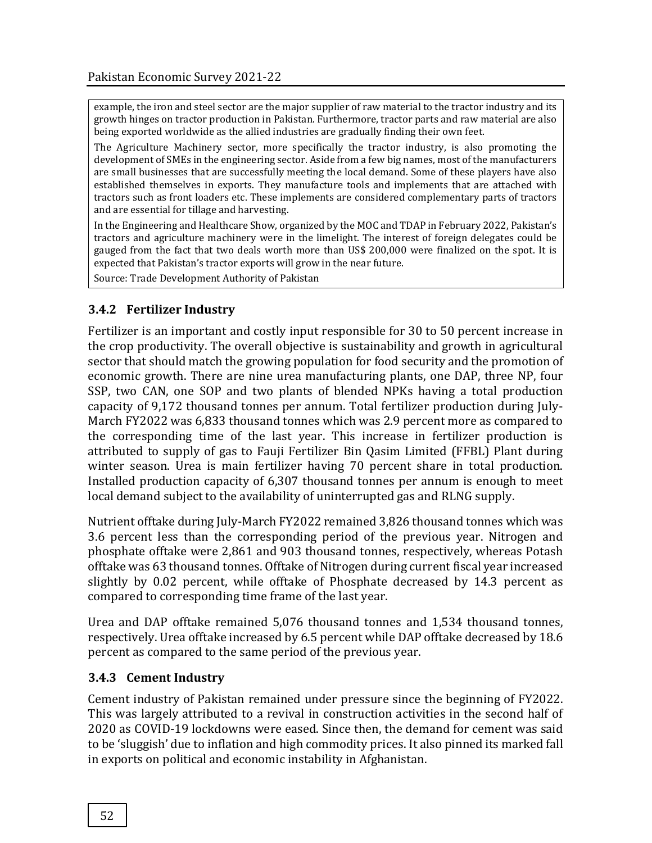example, the iron and steel sector are the major supplier of raw material to the tractor industry and its growth hinges on tractor production in Pakistan. Furthermore, tractor parts and raw material are also being exported worldwide as the allied industries are gradually finding their own feet.

The Agriculture Machinery sector, more specifically the tractor industry, is also promoting the development of SMEs in the engineering sector. Aside from a few big names, most of the manufacturers are small businesses that are successfully meeting the local demand. Some of these players have also established themselves in exports. They manufacture tools and implements that are attached with tractors such as front loaders etc. These implements are considered complementary parts of tractors and are essential for tillage and harvesting.

In the Engineering and Healthcare Show, organized by the MOC and TDAP in February 2022, Pakistan's tractors and agriculture machinery were in the limelight. The interest of foreign delegates could be gauged from the fact that two deals worth more than US\$ 200,000 were finalized on the spot. It is expected that Pakistan's tractor exports will grow in the near future.

Source: Trade Development Authority of Pakistan

## **3.4.2 Fertilizer Industry**

Fertilizer is an important and costly input responsible for 30 to 50 percent increase in the crop productivity. The overall objective is sustainability and growth in agricultural sector that should match the growing population for food security and the promotion of economic growth. There are nine urea manufacturing plants, one DAP, three NP, four SSP, two CAN, one SOP and two plants of blended NPKs having a total production capacity of 9,172 thousand tonnes per annum. Total fertilizer production during July-March FY2022 was 6,833 thousand tonnes which was 2.9 percent more as compared to the corresponding time of the last year. This increase in fertilizer production is attributed to supply of gas to Fauji Fertilizer Bin Qasim Limited (FFBL) Plant during winter season. Urea is main fertilizer having 70 percent share in total production. Installed production capacity of 6,307 thousand tonnes per annum is enough to meet local demand subject to the availability of uninterrupted gas and RLNG supply.

Nutrient offtake during July-March FY2022 remained 3,826 thousand tonnes which was 3.6 percent less than the corresponding period of the previous year. Nitrogen and phosphate offtake were 2,861 and 903 thousand tonnes, respectively, whereas Potash offtake was 63 thousand tonnes. Offtake of Nitrogen during current fiscal year increased slightly by 0.02 percent, while offtake of Phosphate decreased by 14.3 percent as compared to corresponding time frame of the last year.

Urea and DAP offtake remained 5,076 thousand tonnes and 1,534 thousand tonnes, respectively. Urea offtake increased by 6.5 percent while DAP offtake decreased by 18.6 percent as compared to the same period of the previous year.

## **3.4.3 Cement Industry**

Cement industry of Pakistan remained under pressure since the beginning of FY2022. This was largely attributed to a revival in construction activities in the second half of 2020 as COVID-19 lockdowns were eased. Since then, the demand for cement was said to be 'sluggish' due to inflation and high commodity prices. It also pinned its marked fall in exports on political and economic instability in Afghanistan.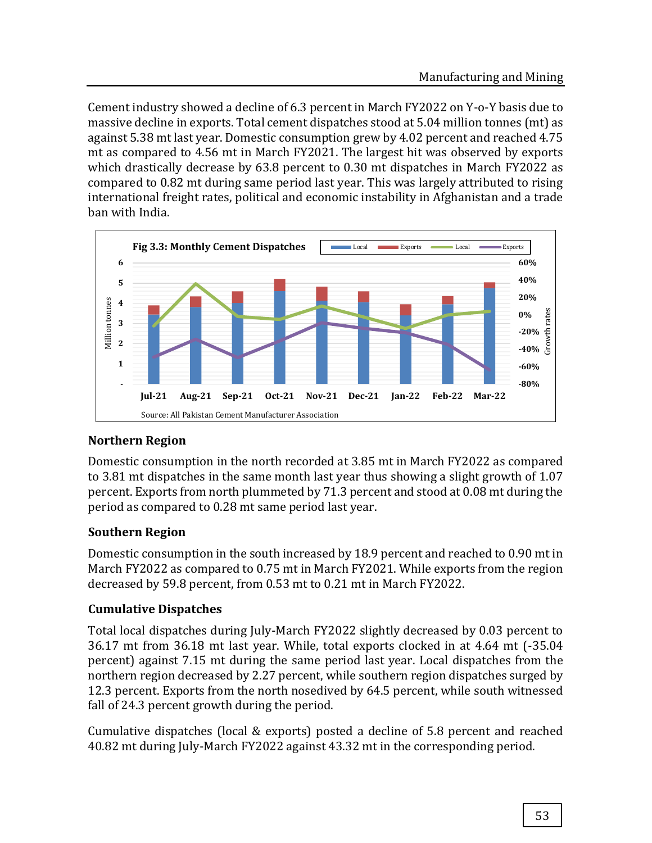Cement industry showed a decline of 6.3 percent in March FY2022 on Y-o-Y basis due to massive decline in exports. Total cement dispatches stood at 5.04 million tonnes (mt) as against 5.38 mt last year. Domestic consumption grew by 4.02 percent and reached 4.75 mt as compared to 4.56 mt in March FY2021. The largest hit was observed by exports which drastically decrease by 63.8 percent to 0.30 mt dispatches in March FY2022 as compared to 0.82 mt during same period last year. This was largely attributed to rising international freight rates, political and economic instability in Afghanistan and a trade ban with India.



# **Northern Region**

Domestic consumption in the north recorded at 3.85 mt in March FY2022 as compared to 3.81 mt dispatches in the same month last year thus showing a slight growth of 1.07 percent. Exports from north plummeted by 71.3 percent and stood at 0.08 mt during the period as compared to 0.28 mt same period last year.

# **Southern Region**

Domestic consumption in the south increased by 18.9 percent and reached to 0.90 mt in March FY2022 as compared to 0.75 mt in March FY2021. While exports from the region decreased by 59.8 percent, from 0.53 mt to 0.21 mt in March FY2022.

## **Cumulative Dispatches**

Total local dispatches during July-March FY2022 slightly decreased by 0.03 percent to 36.17 mt from 36.18 mt last year. While, total exports clocked in at 4.64 mt (-35.04 percent) against 7.15 mt during the same period last year. Local dispatches from the northern region decreased by 2.27 percent, while southern region dispatches surged by 12.3 percent. Exports from the north nosedived by 64.5 percent, while south witnessed fall of 24.3 percent growth during the period.

Cumulative dispatches (local & exports) posted a decline of 5.8 percent and reached 40.82 mt during July-March FY2022 against 43.32 mt in the corresponding period.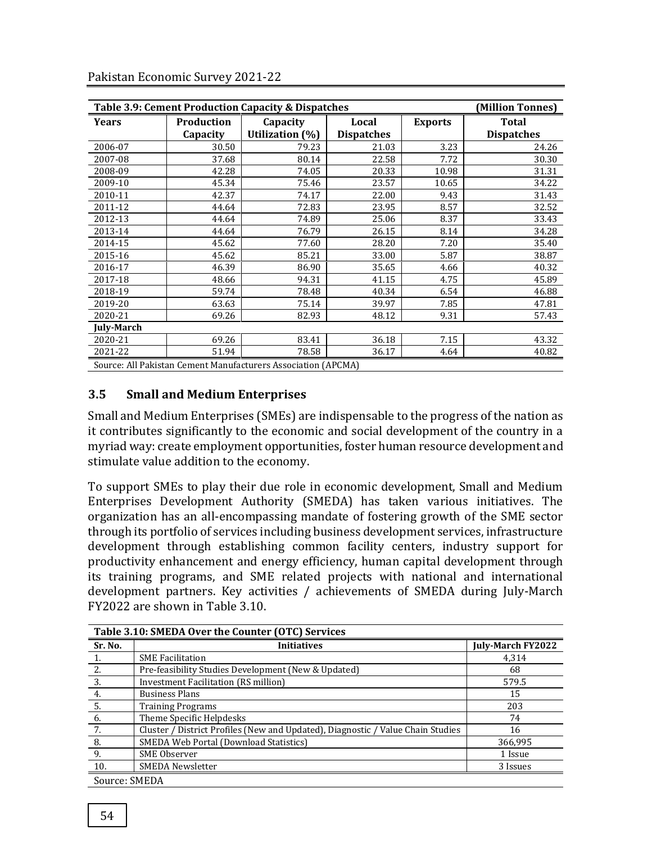| Table 3.9: Cement Production Capacity & Dispatches<br>(Million Tonnes) |                               |                                                               |                            |                |                                   |  |
|------------------------------------------------------------------------|-------------------------------|---------------------------------------------------------------|----------------------------|----------------|-----------------------------------|--|
| <b>Years</b>                                                           | <b>Production</b><br>Capacity | Capacity<br>Utilization (%)                                   | Local<br><b>Dispatches</b> | <b>Exports</b> | <b>Total</b><br><b>Dispatches</b> |  |
| 2006-07                                                                | 30.50                         | 79.23                                                         | 21.03                      | 3.23           | 24.26                             |  |
| 2007-08                                                                | 37.68                         | 80.14                                                         | 22.58                      | 7.72           | 30.30                             |  |
| 2008-09                                                                | 42.28                         | 74.05                                                         | 20.33                      | 10.98          | 31.31                             |  |
| 2009-10                                                                | 45.34                         | 75.46                                                         | 23.57                      | 10.65          | 34.22                             |  |
| 2010-11                                                                | 42.37                         | 74.17                                                         | 22.00                      | 9.43           | 31.43                             |  |
| 2011-12                                                                | 44.64                         | 72.83                                                         | 23.95                      | 8.57           | 32.52                             |  |
| 2012-13                                                                | 44.64                         | 74.89                                                         | 25.06                      | 8.37           | 33.43                             |  |
| 2013-14                                                                | 44.64                         | 76.79                                                         | 26.15                      | 8.14           | 34.28                             |  |
| 2014-15                                                                | 45.62                         | 77.60                                                         | 28.20                      | 7.20           | 35.40                             |  |
| 2015-16                                                                | 45.62                         | 85.21                                                         | 33.00                      | 5.87           | 38.87                             |  |
| 2016-17                                                                | 46.39                         | 86.90                                                         | 35.65                      | 4.66           | 40.32                             |  |
| 2017-18                                                                | 48.66                         | 94.31                                                         | 41.15                      | 4.75           | 45.89                             |  |
| 2018-19                                                                | 59.74                         | 78.48                                                         | 40.34                      | 6.54           | 46.88                             |  |
| 2019-20                                                                | 63.63                         | 75.14                                                         | 39.97                      | 7.85           | 47.81                             |  |
| 2020-21                                                                | 69.26                         | 82.93                                                         | 48.12                      | 9.31           | 57.43                             |  |
| <b>July-March</b>                                                      |                               |                                                               |                            |                |                                   |  |
| 2020-21                                                                | 69.26                         | 83.41                                                         | 36.18                      | 7.15           | 43.32                             |  |
| 2021-22                                                                | 51.94                         | 78.58                                                         | 36.17                      | 4.64           | 40.82                             |  |
|                                                                        |                               | Source: All Pakistan Cement Manufacturers Association (APCMA) |                            |                |                                   |  |

Pakistan Economic Survey 2021-22

**3.5 Small and Medium Enterprises**

Small and Medium Enterprises (SMEs) are indispensable to the progress of the nation as it contributes significantly to the economic and social development of the country in a myriad way: create employment opportunities, foster human resource development and stimulate value addition to the economy.

To support SMEs to play their due role in economic development, Small and Medium Enterprises Development Authority (SMEDA) has taken various initiatives. The organization has an all-encompassing mandate of fostering growth of the SME sector through its portfolio of services including business development services, infrastructure development through establishing common facility centers, industry support for productivity enhancement and energy efficiency, human capital development through its training programs, and SME related projects with national and international development partners. Key activities / achievements of SMEDA during July-March FY2022 are shown in Table 3.10.

| Table 3.10: SMEDA Over the Counter (OTC) Services |                                                                                 |                          |  |  |
|---------------------------------------------------|---------------------------------------------------------------------------------|--------------------------|--|--|
| Sr. No.                                           | <b>Initiatives</b>                                                              | <b>July-March FY2022</b> |  |  |
|                                                   | <b>SME Facilitation</b>                                                         | 4.314                    |  |  |
| 2.                                                | Pre-feasibility Studies Development (New & Updated)                             | 68                       |  |  |
| 3.                                                | <b>Investment Facilitation (RS million)</b>                                     | 579.5                    |  |  |
| 4.                                                | <b>Business Plans</b>                                                           | 15                       |  |  |
| 5.                                                | <b>Training Programs</b>                                                        | 203                      |  |  |
| - 6.                                              | Theme Specific Helpdesks                                                        | 74                       |  |  |
| 7.                                                | Cluster / District Profiles (New and Updated), Diagnostic / Value Chain Studies | 16                       |  |  |
| 8.                                                | <b>SMEDA Web Portal (Download Statistics)</b>                                   | 366,995                  |  |  |
| 9.                                                | SME Observer                                                                    | 1 Issue                  |  |  |
| 10.                                               | <b>SMEDA Newsletter</b>                                                         | 3 Issues                 |  |  |
| Source: SMEDA                                     |                                                                                 |                          |  |  |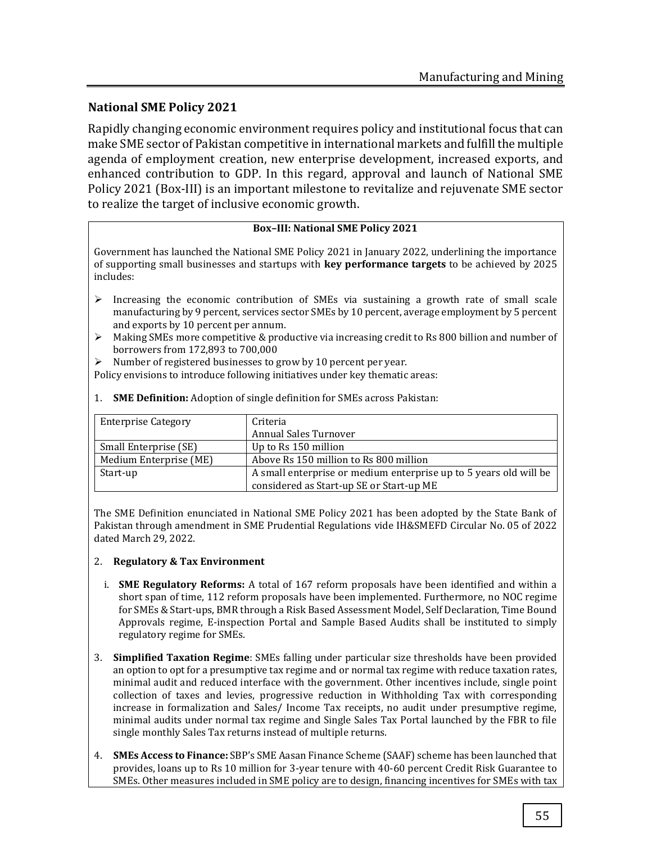## **National SME Policy 2021**

Rapidly changing economic environment requires policy and institutional focus that can make SME sector of Pakistan competitive in international markets and fulfill the multiple agenda of employment creation, new enterprise development, increased exports, and enhanced contribution to GDP. In this regard, approval and launch of National SME Policy 2021 (Box-III) is an important milestone to revitalize and rejuvenate SME sector to realize the target of inclusive economic growth.

#### **Box–III: National SME Policy 2021**

Government has launched the National SME Policy 2021 in January 2022, underlining the importance of supporting small businesses and startups with **key performance targets** to be achieved by 2025 includes:

- $\triangleright$  Increasing the economic contribution of SMEs via sustaining a growth rate of small scale manufacturing by 9 percent, services sector SMEs by 10 percent, average employment by 5 percent and exports by 10 percent per annum.
- $\triangleright$  Making SMEs more competitive & productive via increasing credit to Rs 800 billion and number of borrowers from 172,893 to 700,000
- $\triangleright$  Number of registered businesses to grow by 10 percent per year.

Policy envisions to introduce following initiatives under key thematic areas:

| <b>Enterprise Category</b> | Criteria                                                          |  |  |  |
|----------------------------|-------------------------------------------------------------------|--|--|--|
|                            | <b>Annual Sales Turnover</b>                                      |  |  |  |
| Small Enterprise (SE)      | Up to Rs 150 million                                              |  |  |  |
| Medium Enterprise (ME)     | Above Rs 150 million to Rs 800 million                            |  |  |  |
| Start-up                   | A small enterprise or medium enterprise up to 5 years old will be |  |  |  |
|                            | considered as Start-up SE or Start-up ME                          |  |  |  |

1. **SME Definition:** Adoption of single definition for SMEs across Pakistan:

The SME Definition enunciated in National SME Policy 2021 has been adopted by the State Bank of Pakistan through amendment in SME Prudential Regulations vide IH&SMEFD Circular No. 05 of 2022 dated March 29, 2022.

#### 2. **Regulatory & Tax Environment**

- i. **SME Regulatory Reforms:** A total of 167 reform proposals have been identified and within a short span of time, 112 reform proposals have been implemented. Furthermore, no NOC regime for SMEs & Start-ups, BMR through a Risk Based Assessment Model, Self Declaration, Time Bound Approvals regime, E-inspection Portal and Sample Based Audits shall be instituted to simply regulatory regime for SMEs.
- 3. **Simplified Taxation Regime**: SMEs falling under particular size thresholds have been provided an option to opt for a presumptive tax regime and or normal tax regime with reduce taxation rates, minimal audit and reduced interface with the government. Other incentives include, single point collection of taxes and levies, progressive reduction in Withholding Tax with corresponding increase in formalization and Sales/ Income Tax receipts, no audit under presumptive regime, minimal audits under normal tax regime and Single Sales Tax Portal launched by the FBR to file single monthly Sales Tax returns instead of multiple returns.
- 4. **SMEs Access to Finance:** SBP's SME Aasan Finance Scheme (SAAF) scheme has been launched that provides, loans up to Rs 10 million for 3-year tenure with 40-60 percent Credit Risk Guarantee to SMEs. Other measures included in SME policy are to design, financing incentives for SMEs with tax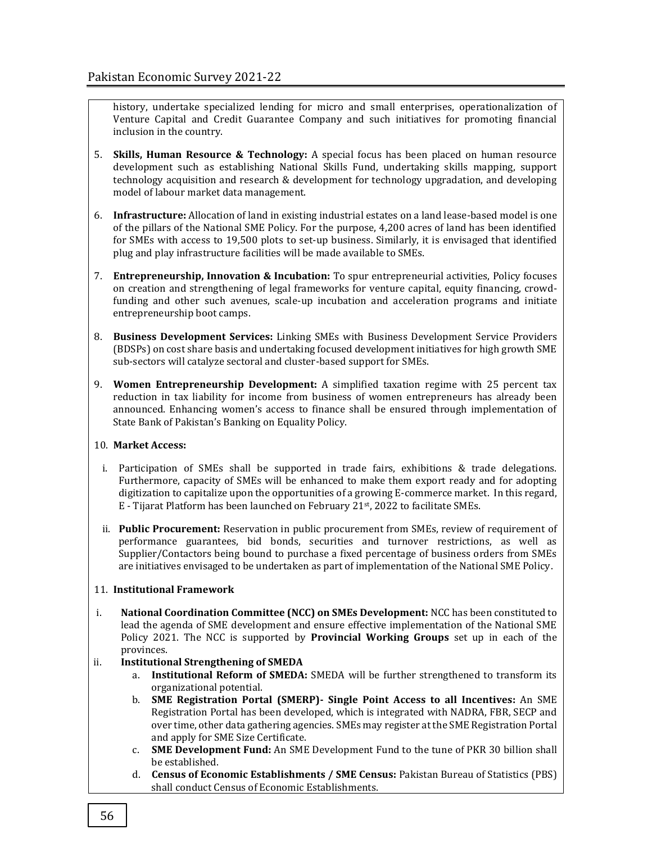history, undertake specialized lending for micro and small enterprises, operationalization of Venture Capital and Credit Guarantee Company and such initiatives for promoting financial inclusion in the country.

- 5. **Skills, Human Resource & Technology:** A special focus has been placed on human resource development such as establishing National Skills Fund, undertaking skills mapping, support technology acquisition and research & development for technology upgradation, and developing model of labour market data management.
- 6. **Infrastructure:** Allocation of land in existing industrial estates on a land lease-based model is one of the pillars of the National SME Policy. For the purpose, 4,200 acres of land has been identified for SMEs with access to 19,500 plots to set-up business. Similarly, it is envisaged that identified plug and play infrastructure facilities will be made available to SMEs.
- 7. **Entrepreneurship, Innovation & Incubation:** To spur entrepreneurial activities, Policy focuses on creation and strengthening of legal frameworks for venture capital, equity financing, crowdfunding and other such avenues, scale-up incubation and acceleration programs and initiate entrepreneurship boot camps.
- 8. **Business Development Services:** Linking SMEs with Business Development Service Providers (BDSPs) on cost share basis and undertaking focused development initiatives for high growth SME sub-sectors will catalyze sectoral and cluster-based support for SMEs.
- 9. **Women Entrepreneurship Development:** A simplified taxation regime with 25 percent tax reduction in tax liability for income from business of women entrepreneurs has already been announced. Enhancing women's access to finance shall be ensured through implementation of State Bank of Pakistan's Banking on Equality Policy.

#### 10. **Market Access:**

- i. Participation of SMEs shall be supported in trade fairs, exhibitions & trade delegations. Furthermore, capacity of SMEs will be enhanced to make them export ready and for adopting digitization to capitalize upon the opportunities of a growing E-commerce market. In this regard, E - Tijarat Platform has been launched on February 21st, 2022 to facilitate SMEs.
- ii. **Public Procurement:** Reservation in public procurement from SMEs, review of requirement of performance guarantees, bid bonds, securities and turnover restrictions, as well as Supplier/Contactors being bound to purchase a fixed percentage of business orders from SMEs are initiatives envisaged to be undertaken as part of implementation of the National SME Policy.

#### 11. **Institutional Framework**

- i. **National Coordination Committee (NCC) on SMEs Development:** NCC has been constituted to lead the agenda of SME development and ensure effective implementation of the National SME Policy 2021. The NCC is supported by **Provincial Working Groups** set up in each of the provinces.
- ii. **Institutional Strengthening of SMEDA**
	- a. **Institutional Reform of SMEDA:** SMEDA will be further strengthened to transform its organizational potential.
	- b. **SME Registration Portal (SMERP)- Single Point Access to all Incentives:** An SME Registration Portal has been developed, which is integrated with NADRA, FBR, SECP and over time, other data gathering agencies. SMEs may register at the SME Registration Portal and apply for SME Size Certificate.
	- c. **SME Development Fund:** An SME Development Fund to the tune of PKR 30 billion shall be established.
	- d. **Census of Economic Establishments / SME Census:** Pakistan Bureau of Statistics (PBS) shall conduct Census of Economic Establishments.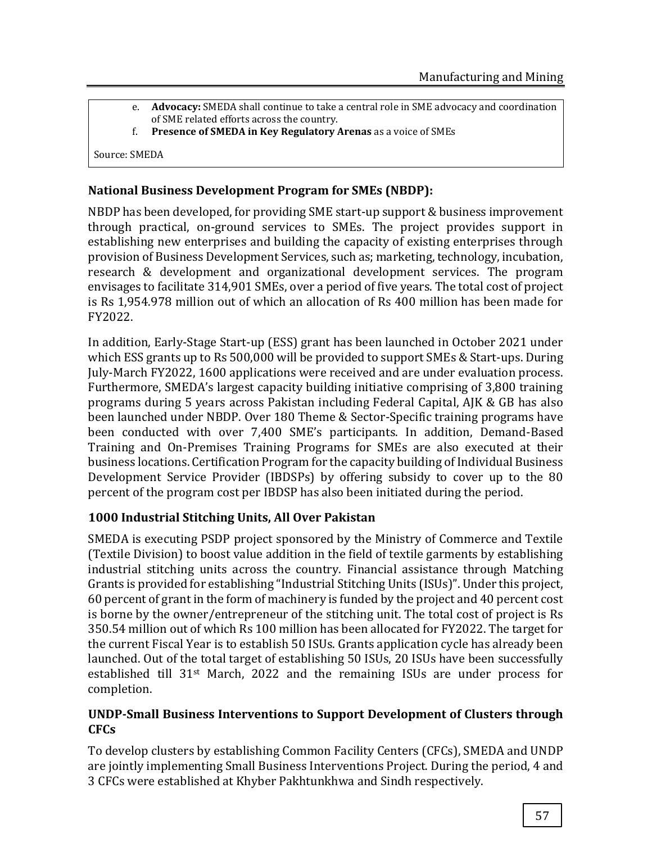- e. **Advocacy:** SMEDA shall continue to take a central role in SME advocacy and coordination of SME related efforts across the country.
- f. **Presence of SMEDA in Key Regulatory Arenas** as a voice of SMEs

Source: SMEDA

#### **National Business Development Program for SMEs (NBDP):**

NBDP has been developed, for providing SME start-up support & business improvement through practical, on-ground services to SMEs. The project provides support in establishing new enterprises and building the capacity of existing enterprises through provision of Business Development Services, such as; marketing, technology, incubation, research & development and organizational development services. The program envisages to facilitate 314,901 SMEs, over a period of five years. The total cost of project is Rs 1,954.978 million out of which an allocation of Rs 400 million has been made for FY2022.

In addition, Early-Stage Start-up (ESS) grant has been launched in October 2021 under which ESS grants up to Rs 500,000 will be provided to support SMEs & Start-ups. During July-March FY2022, 1600 applications were received and are under evaluation process. Furthermore, SMEDA's largest capacity building initiative comprising of 3,800 training programs during 5 years across Pakistan including Federal Capital, AJK & GB has also been launched under NBDP. Over 180 Theme & Sector-Specific training programs have been conducted with over 7,400 SME's participants. In addition, Demand-Based Training and On-Premises Training Programs for SMEs are also executed at their business locations. Certification Program for the capacity building of Individual Business Development Service Provider (IBDSPs) by offering subsidy to cover up to the 80 percent of the program cost per IBDSP has also been initiated during the period.

## **1000 Industrial Stitching Units, All Over Pakistan**

SMEDA is executing PSDP project sponsored by the Ministry of Commerce and Textile (Textile Division) to boost value addition in the field of textile garments by establishing industrial stitching units across the country. Financial assistance through Matching Grants is provided for establishing "Industrial Stitching Units (ISUs)". Under this project, 60 percent of grant in the form of machinery is funded by the project and 40 percent cost is borne by the owner/entrepreneur of the stitching unit. The total cost of project is Rs 350.54 million out of which Rs 100 million has been allocated for FY2022. The target for the current Fiscal Year is to establish 50 ISUs. Grants application cycle has already been launched. Out of the total target of establishing 50 ISUs, 20 ISUs have been successfully established till 31st March, 2022 and the remaining ISUs are under process for completion.

## **UNDP-Small Business Interventions to Support Development of Clusters through CFCs**

To develop clusters by establishing Common Facility Centers (CFCs), SMEDA and UNDP are jointly implementing Small Business Interventions Project. During the period, 4 and 3 CFCs were established at Khyber Pakhtunkhwa and Sindh respectively.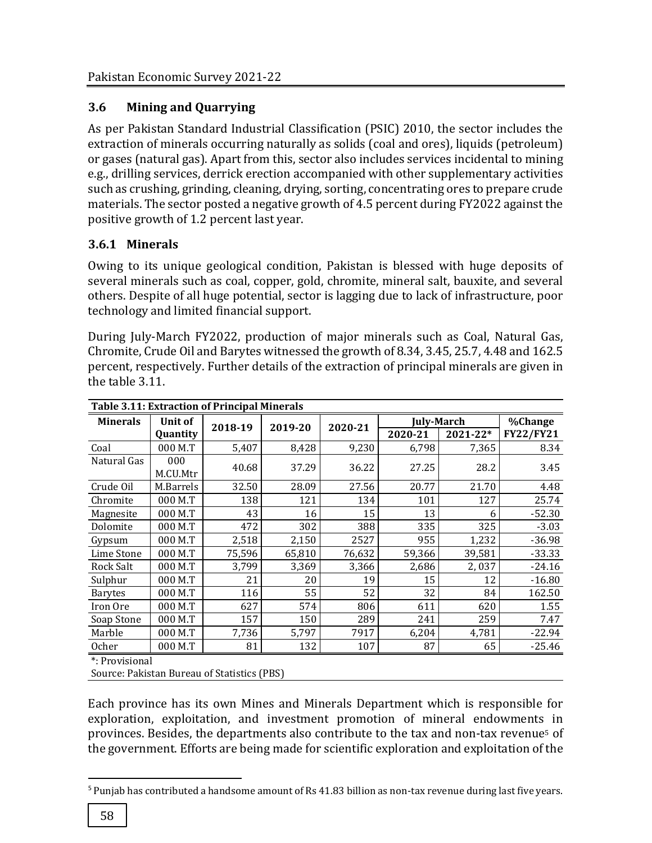# **3.6 Mining and Quarrying**

As per Pakistan Standard Industrial Classification (PSIC) 2010, the sector includes the extraction of minerals occurring naturally as solids (coal and ores), liquids (petroleum) or gases (natural gas). Apart from this, sector also includes services incidental to mining e.g., drilling services, derrick erection accompanied with other supplementary activities such as crushing, grinding, cleaning, drying, sorting, concentrating ores to prepare crude materials. The sector posted a negative growth of 4.5 percent during FY2022 against the positive growth of 1.2 percent last year.

# **3.6.1 Minerals**

Owing to its unique geological condition, Pakistan is blessed with huge deposits of several minerals such as coal, copper, gold, chromite, mineral salt, bauxite, and several others. Despite of all huge potential, sector is lagging due to lack of infrastructure, poor technology and limited financial support.

During July-March FY2022, production of major minerals such as Coal, Natural Gas, Chromite, Crude Oil and Barytes witnessed the growth of 8.34, 3.45, 25.7, 4.48 and 162.5 percent, respectively. Further details of the extraction of principal minerals are given in the table 3.11.

| <b>Table 3.11: Extraction of Principal Minerals</b> |                |         |         |         |                   |          |                  |  |
|-----------------------------------------------------|----------------|---------|---------|---------|-------------------|----------|------------------|--|
| <b>Minerals</b>                                     | <b>Unit of</b> |         | 2019-20 | 2020-21 | <b>July-March</b> |          | %Change          |  |
|                                                     | Quantity       | 2018-19 |         |         | 2020-21           | 2021-22* | <b>FY22/FY21</b> |  |
| Coal                                                | 000 M.T        | 5,407   | 8,428   | 9,230   | 6,798             | 7,365    | 8.34             |  |
| Natural Gas                                         | 000            | 40.68   | 37.29   | 36.22   | 27.25             | 28.2     | 3.45             |  |
|                                                     | M.CU.Mtr       |         |         |         |                   |          |                  |  |
| Crude Oil                                           | M.Barrels      | 32.50   | 28.09   | 27.56   | 20.77             | 21.70    | 4.48             |  |
| Chromite                                            | 000 M.T        | 138     | 121     | 134     | 101               | 127      | 25.74            |  |
| Magnesite                                           | 000 M.T        | 43      | 16      | 15      | 13                | 6        | $-52.30$         |  |
| Dolomite                                            | 000 M.T        | 472     | 302     | 388     | 335               | 325      | $-3.03$          |  |
| Gypsum                                              | 000 M.T        | 2,518   | 2,150   | 2527    | 955               | 1,232    | $-36.98$         |  |
| Lime Stone                                          | 000 M.T        | 75,596  | 65,810  | 76,632  | 59,366            | 39,581   | $-33.33$         |  |
| <b>Rock Salt</b>                                    | 000 M.T        | 3,799   | 3,369   | 3,366   | 2,686             | 2,037    | $-24.16$         |  |
| Sulphur                                             | 000 M.T        | 21      | 20      | 19      | 15                | 12       | $-16.80$         |  |
| <b>Barytes</b>                                      | 000 M.T        | 116     | 55      | 52      | 32                | 84       | 162.50           |  |
| Iron Ore                                            | 000 M.T        | 627     | 574     | 806     | 611               | 620      | 1.55             |  |
| Soap Stone                                          | 000 M.T        | 157     | 150     | 289     | 241               | 259      | 7.47             |  |
| Marble                                              | 000 M.T        | 7,736   | 5,797   | 7917    | 6,204             | 4,781    | -22.94           |  |
| <b>Ocher</b>                                        | 000 M.T        | 81      | 132     | 107     | 87                | 65       | $-25.46$         |  |
| $*$ . Dravicional                                   |                |         |         |         |                   |          |                  |  |

**Table 3.11: Extraction of Principal Minerals** 

: Provisional

Source: Pakistan Bureau of Statistics (PBS)

Each province has its own Mines and Minerals Department which is responsible for exploration, exploitation, and investment promotion of mineral endowments in provinces. Besides, the departments also contribute to the tax and non-tax revenue<sup>5</sup> of the government. Efforts are being made for scientific exploration and exploitation of the

 $\overline{\phantom{a}}$ 

<sup>&</sup>lt;sup>5</sup> Punjab has contributed a handsome amount of Rs 41.83 billion as non-tax revenue during last five years.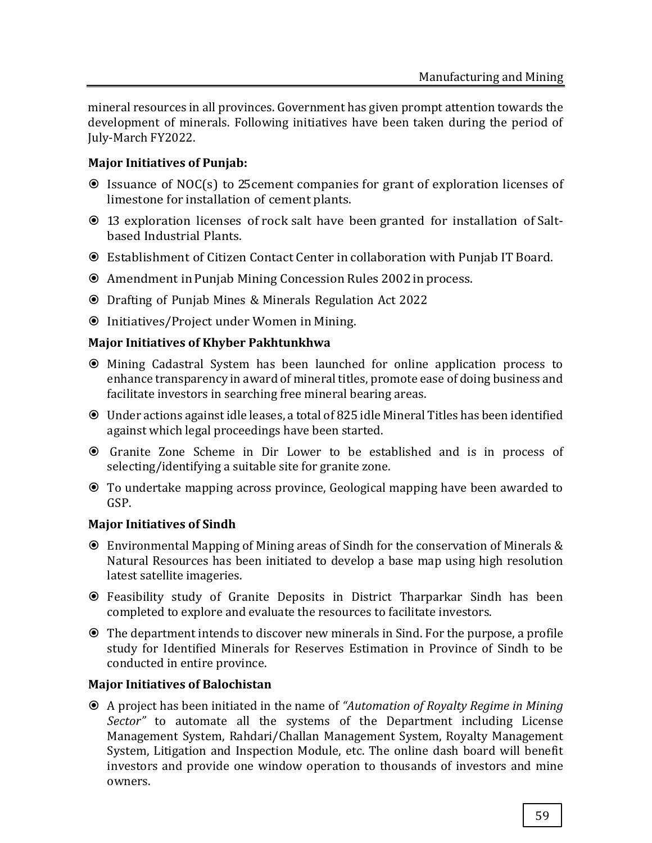mineral resources in all provinces. Government has given prompt attention towards the development of minerals. Following initiatives have been taken during the period of July-March FY2022.

## **Major Initiatives of Punjab:**

- Issuance of NOC(s) to 25cement companies for grant of exploration licenses of limestone for installation of cement plants.
- 13 exploration licenses of rock salt have been granted for installation of Saltbased Industrial Plants.
- Establishment of Citizen Contact Center in collaboration with Punjab IT Board.
- Amendment in Punjab Mining Concession Rules 2002 inprocess.
- Drafting of Punjab Mines & Minerals Regulation Act 2022
- Initiatives/Project under Women in Mining.

## **Major Initiatives of Khyber Pakhtunkhwa**

- Mining Cadastral System has been launched for online application process to enhance transparency in award of mineral titles, promote ease of doing business and facilitate investors in searching free mineral bearing areas.
- Under actions against idle leases, a total of 825 idle Mineral Titles has been identified against which legal proceedings have been started.
- Granite Zone Scheme in Dir Lower to be established and is in process of selecting/identifying a suitable site for granite zone.
- To undertake mapping across province, Geological mapping have been awarded to GSP.

## **Major Initiatives of Sindh**

- Environmental Mapping of Mining areas of Sindh for the conservation of Minerals & Natural Resources has been initiated to develop a base map using high resolution latest satellite imageries.
- Feasibility study of Granite Deposits in District Tharparkar Sindh has been completed to explore and evaluate the resources to facilitate investors.
- The department intends to discover new minerals in Sind. For the purpose, a profile study for Identified Minerals for Reserves Estimation in Province of Sindh to be conducted in entire province.

# **Major Initiatives of Balochistan**

 A project has been initiated in the name of *"Automation of Royalty Regime in Mining Sector"* to automate all the systems of the Department including License Management System, Rahdari/Challan Management System, Royalty Management System, Litigation and Inspection Module, etc. The online dash board will benefit investors and provide one window operation to thousands of investors and mine owners.